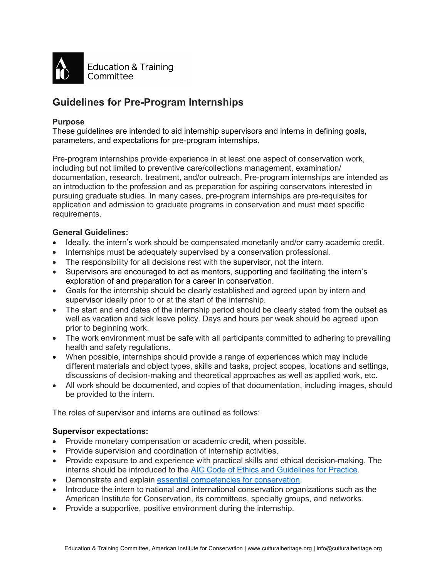

# **Guidelines for Pre-Program Internships**

#### **Purpose**

These guidelines are intended to aid internship supervisors and interns in defining goals, parameters, and expectations for pre-program internships.

Pre-program internships provide experience in at least one aspect of conservation work, including but not limited to preventive care/collections management, examination/ documentation, research, treatment, and/or outreach. Pre-program internships are intended as an introduction to the profession and as preparation for aspiring conservators interested in pursuing graduate studies. In many cases, pre-program internships are pre-requisites for application and admission to graduate programs in conservation and must meet specific requirements.

## **General Guidelines:**

- Ideally, the intern's work should be compensated monetarily and/or carry academic credit.
- Internships must be adequately supervised by a conservation professional.
- The responsibility for all decisions rest with the supervisor, not the intern.
- Supervisors are encouraged to act as mentors, supporting and facilitating the intern's exploration of and preparation for a career in conservation.
- Goals for the internship should be clearly established and agreed upon by intern and supervisor ideally prior to or at the start of the internship.
- The start and end dates of the internship period should be clearly stated from the outset as well as vacation and sick leave policy. Days and hours per week should be agreed upon prior to beginning work.
- The work environment must be safe with all participants committed to adhering to prevailing health and safety regulations.
- When possible, internships should provide a range of experiences which may include different materials and object types, skills and tasks, project scopes, locations and settings, discussions of decision-making and theoretical approaches as well as applied work, etc.
- All work should be documented, and copies of that documentation, including images, should be provided to the intern.

The roles of supervisor and interns are outlined as follows:

#### **Supervisor expectations:**

- Provide monetary compensation or academic credit, when possible.
- Provide supervision and coordination of internship activities.
- Provide exposure to and experience with practical skills and ethical decision-making. The interns should be introduced to the AIC Code of Ethics and Guidelines for Practice.
- Demonstrate and explain essential competencies for conservation.
- Introduce the intern to national and international conservation organizations such as the American Institute for Conservation, its committees, specialty groups, and networks.
- Provide a supportive, positive environment during the internship.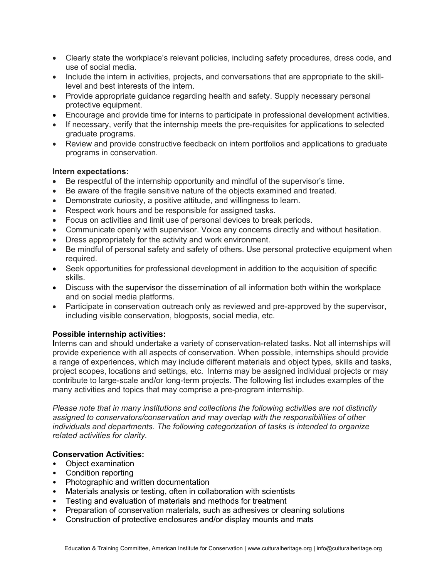- Clearly state the workplace's relevant policies, including safety procedures, dress code, and use of social media.
- Include the intern in activities, projects, and conversations that are appropriate to the skilllevel and best interests of the intern.
- Provide appropriate quidance regarding health and safety. Supply necessary personal protective equipment.
- Encourage and provide time for interns to participate in professional development activities.
- If necessary, verify that the internship meets the pre-requisites for applications to selected graduate programs.
- Review and provide constructive feedback on intern portfolios and applications to graduate programs in conservation.

## **Intern expectations:**

- Be respectful of the internship opportunity and mindful of the supervisor's time.
- Be aware of the fragile sensitive nature of the objects examined and treated.
- Demonstrate curiosity, a positive attitude, and willingness to learn.
- Respect work hours and be responsible for assigned tasks.
- Focus on activities and limit use of personal devices to break periods.
- Communicate openly with supervisor. Voice any concerns directly and without hesitation.
- Dress appropriately for the activity and work environment.
- Be mindful of personal safety and safety of others. Use personal protective equipment when required.
- Seek opportunities for professional development in addition to the acquisition of specific skills.
- Discuss with the supervisor the dissemination of all information both within the workplace and on social media platforms.
- Participate in conservation outreach only as reviewed and pre-approved by the supervisor, including visible conservation, blogposts, social media, etc.

# **Possible internship activities:**

**I**nterns can and should undertake a variety of conservation-related tasks. Not all internships will provide experience with all aspects of conservation. When possible, internships should provide a range of experiences, which may include different materials and object types, skills and tasks, project scopes, locations and settings, etc. Interns may be assigned individual projects or may contribute to large-scale and/or long-term projects. The following list includes examples of the many activities and topics that may comprise a pre-program internship.

*Please note that in many institutions and collections the following activities are not distinctly assigned to conservators/conservation and may overlap with the responsibilities of other individuals and departments. The following categorization of tasks is intended to organize related activities for clarity.*

#### **Conservation Activities:**

- Object examination
- Condition reporting
- Photographic and written documentation
- Materials analysis or testing, often in collaboration with scientists
- Testing and evaluation of materials and methods for treatment
- Preparation of conservation materials, such as adhesives or cleaning solutions
- Construction of protective enclosures and/or display mounts and mats